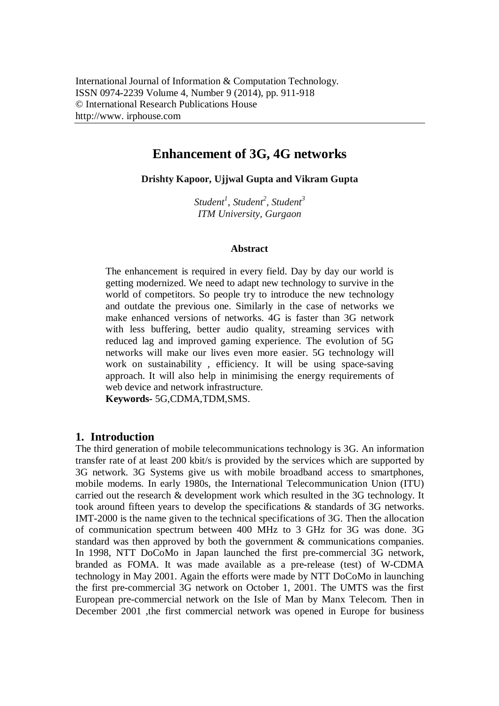# **Enhancement of 3G, 4G networks**

**Drishty Kapoor, Ujjwal Gupta and Vikram Gupta**

*Student<sup>1</sup> , Student<sup>2</sup> , Student<sup>3</sup> ITM University, Gurgaon*

#### **Abstract**

The enhancement is required in every field. Day by day our world is getting modernized. We need to adapt new technology to survive in the world of competitors. So people try to introduce the new technology and outdate the previous one. Similarly in the case of networks we make enhanced versions of networks. 4G is faster than 3G network with less buffering, better audio quality, streaming services with reduced lag and improved gaming experience. The evolution of 5G networks will make our lives even more easier. 5G technology will work on sustainability , efficiency. It will be using space-saving approach. It will also help in minimising the energy requirements of web device and network infrastructure.

**Keywords-** 5G,CDMA,TDM,SMS.

# **1. Introduction**

The third generation of mobile telecommunications technology is 3G. An information transfer rate of at least 200 kbit/s is provided by the services which are supported by 3G network. 3G Systems give us with mobile broadband access to smartphones, mobile modems. In early 1980s, the International Telecommunication Union (ITU) carried out the research & development work which resulted in the 3G technology. It took around fifteen years to develop the specifications & standards of 3G networks. IMT-2000 is the name given to the technical specifications of 3G. Then the allocation of communication spectrum between 400 MHz to 3 GHz for 3G was done. 3G standard was then approved by both the government & communications companies. In 1998, NTT DoCoMo in Japan launched the first pre-commercial 3G network, branded as FOMA. It was made available as a pre-release (test) of W-CDMA technology in May 2001. Again the efforts were made by NTT DoCoMo in launching the first pre-commercial 3G network on October 1, 2001. The UMTS was the first European pre-commercial network on the Isle of Man by Manx Telecom. Then in December 2001 ,the first commercial network was opened in Europe for business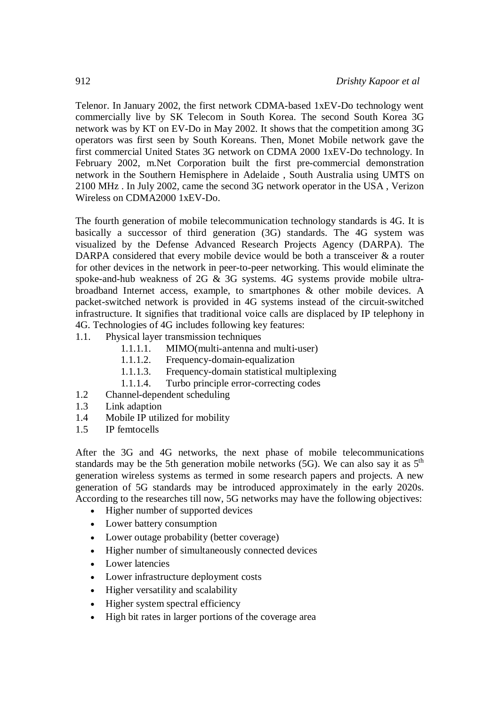Telenor. In January 2002, the first network CDMA-based 1xEV-Do technology went commercially live by SK Telecom in South Korea. The second South Korea 3G network was by KT on EV-Do in May 2002. It shows that the competition among 3G operators was first seen by South Koreans. Then, Monet Mobile network gave the first commercial United States 3G network on CDMA 2000 1xEV-Do technology. In February 2002, m.Net Corporation built the first pre-commercial demonstration network in the Southern Hemisphere in Adelaide , South Australia using UMTS on 2100 MHz . In July 2002, came the second 3G network operator in the USA , Verizon Wireless on CDMA2000 1xEV-Do.

The fourth generation of mobile telecommunication technology standards is 4G. It is basically a successor of third generation (3G) standards. The 4G system was visualized by the Defense Advanced Research Projects Agency (DARPA). The DARPA considered that every mobile device would be both a transceiver  $\&$  a router for other devices in the network in peer-to-peer networking. This would eliminate the spoke-and-hub weakness of 2G & 3G systems. 4G systems provide mobile ultrabroadband Internet access, example, to smartphones & other mobile devices. A packet-switched network is provided in 4G systems instead of the circuit-switched infrastructure. It signifies that traditional voice calls are displaced by IP telephony in 4G. Technologies of 4G includes following key features:

- 1.1. Physical layer transmission techniques
	- 1.1.1.1. MIMO(multi-antenna and multi-user)
	- 1.1.1.2. Frequency-domain-equalization
	- 1.1.1.3. Frequency-domain statistical multiplexing
	- 1.1.1.4. Turbo principle error-correcting codes
- 1.2 Channel-dependent scheduling
- 1.3 Link adaption
- 1.4 Mobile IP utilized for mobility
- 1.5 IP femtocells

After the 3G and 4G networks, the next phase of mobile telecommunications standards may be the 5th generation mobile networks (5G). We can also say it as  $5<sup>th</sup>$ generation wireless systems as termed in some research papers and projects. A new generation of 5G standards may be introduced approximately in the early 2020s. According to the researches till now, 5G networks may have the following objectives:

- Higher number of supported devices
- Lower battery consumption
- Lower outage probability (better coverage)
- Higher number of simultaneously connected devices
- Lower latencies
- Lower infrastructure deployment costs
- Higher versatility and scalability
- Higher system spectral efficiency
- High bit rates in larger portions of the coverage area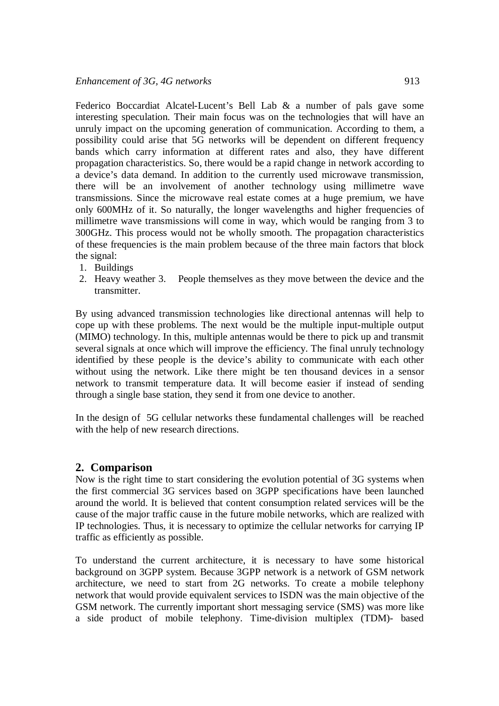Federico Boccardiat Alcatel-Lucent's Bell Lab & a number of pals gave some interesting speculation. Their main focus was on the technologies that will have an unruly impact on the upcoming generation of communication. According to them, a possibility could arise that 5G networks will be dependent on different frequency bands which carry information at different rates and also, they have different propagation characteristics. So, there would be a rapid change in network according to a device's data demand. In addition to the currently used microwave transmission, there will be an involvement of another technology using millimetre wave transmissions. Since the microwave real estate comes at a huge premium, we have only 600MHz of it. So naturally, the longer wavelengths and higher frequencies of millimetre wave transmissions will come in way, which would be ranging from 3 to 300GHz. This process would not be wholly smooth. The propagation characteristics of these frequencies is the main problem because of the three main factors that block the signal:

- 1. Buildings
- 2. Heavy weather 3. People themselves as they move between the device and the transmitter.

By using advanced transmission technologies like directional antennas will help to cope up with these problems. The next would be the multiple input-multiple output (MIMO) technology. In this, multiple antennas would be there to pick up and transmit several signals at once which will improve the efficiency. The final unruly technology identified by these people is the device's ability to communicate with each other without using the network. Like there might be ten thousand devices in a sensor network to transmit temperature data. It will become easier if instead of sending through a single base station, they send it from one device to another.

In the design of 5G cellular networks these fundamental challenges will be reached with the help of new research directions.

# **2. Comparison**

Now is the right time to start considering the evolution potential of 3G systems when the first commercial 3G services based on 3GPP specifications have been launched around the world. It is believed that content consumption related services will be the cause of the major traffic cause in the future mobile networks, which are realized with IP technologies. Thus, it is necessary to optimize the cellular networks for carrying IP traffic as efficiently as possible.

To understand the current architecture, it is necessary to have some historical background on 3GPP system. Because 3GPP network is a network of GSM network architecture, we need to start from 2G networks. To create a mobile telephony network that would provide equivalent services to ISDN was the main objective of the GSM network. The currently important short messaging service (SMS) was more like a side product of mobile telephony. Time-division multiplex (TDM)- based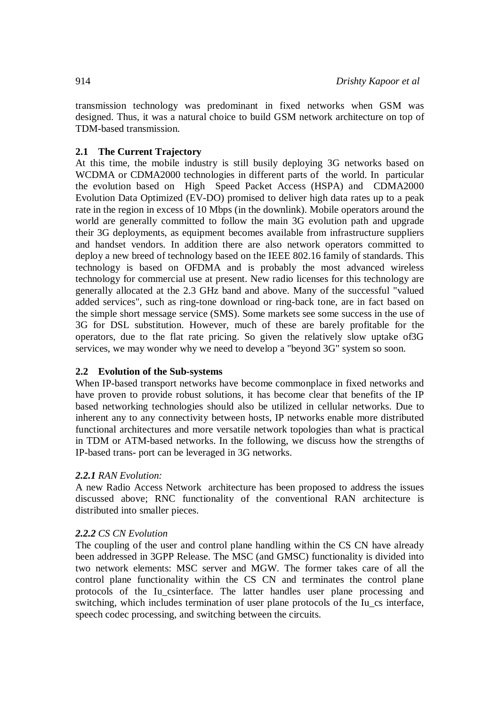transmission technology was predominant in fixed networks when GSM was designed. Thus, it was a natural choice to build GSM network architecture on top of TDM-based transmission.

#### **2.1 The Current Trajectory**

At this time, the mobile industry is still busily deploying 3G networks based on WCDMA or CDMA2000 technologies in different parts of the world. In particular the evolution based on High Speed Packet Access (HSPA) and CDMA2000 Evolution Data Optimized (EV-DO) promised to deliver high data rates up to a peak rate in the region in excess of 10 Mbps (in the downlink). Mobile operators around the world are generally committed to follow the main 3G evolution path and upgrade their 3G deployments, as equipment becomes available from infrastructure suppliers and handset vendors. In addition there are also network operators committed to deploy a new breed of technology based on the IEEE 802.16 family of standards. This technology is based on OFDMA and is probably the most advanced wireless technology for commercial use at present. New radio licenses for this technology are generally allocated at the 2.3 GHz band and above. Many of the successful "valued added services", such as ring-tone download or ring-back tone, are in fact based on the simple short message service (SMS). Some markets see some success in the use of 3G for DSL substitution. However, much of these are barely profitable for the operators, due to the flat rate pricing. So given the relatively slow uptake of3G services, we may wonder why we need to develop a "beyond 3G" system so soon.

#### **2.2 Evolution of the Sub-systems**

When IP-based transport networks have become commonplace in fixed networks and have proven to provide robust solutions, it has become clear that benefits of the IP based networking technologies should also be utilized in cellular networks. Due to inherent any to any connectivity between hosts, IP networks enable more distributed functional architectures and more versatile network topologies than what is practical in TDM or ATM-based networks. In the following, we discuss how the strengths of IP-based trans- port can be leveraged in 3G networks.

# *2.2.1 RAN Evolution:*

A new Radio Access Network architecture has been proposed to address the issues discussed above; RNC functionality of the conventional RAN architecture is distributed into smaller pieces.

#### *2.2.2 CS CN Evolution*

The coupling of the user and control plane handling within the CS CN have already been addressed in 3GPP Release. The MSC (and GMSC) functionality is divided into two network elements: MSC server and MGW. The former takes care of all the control plane functionality within the CS CN and terminates the control plane protocols of the Iu\_csinterface. The latter handles user plane processing and switching, which includes termination of user plane protocols of the Iu\_cs interface, speech codec processing, and switching between the circuits.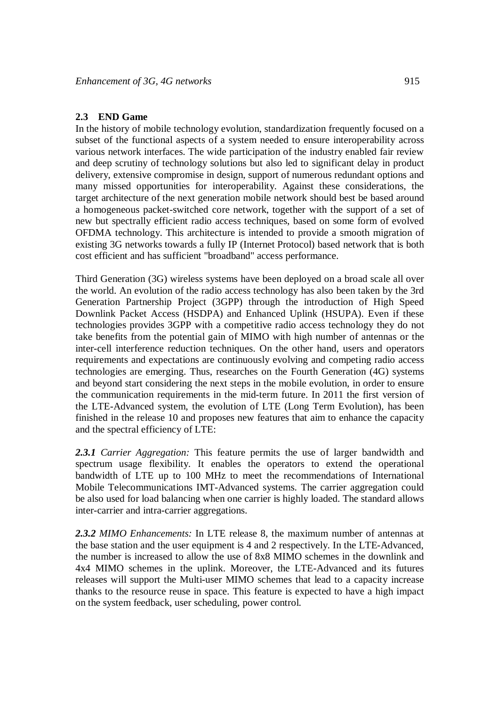#### **2.3 END Game**

In the history of mobile technology evolution, standardization frequently focused on a subset of the functional aspects of a system needed to ensure interoperability across various network interfaces. The wide participation of the industry enabled fair review and deep scrutiny of technology solutions but also led to significant delay in product delivery, extensive compromise in design, support of numerous redundant options and many missed opportunities for interoperability. Against these considerations, the target architecture of the next generation mobile network should best be based around a homogeneous packet-switched core network, together with the support of a set of new but spectrally efficient radio access techniques, based on some form of evolved OFDMA technology. This architecture is intended to provide a smooth migration of existing 3G networks towards a fully IP (Internet Protocol) based network that is both cost efficient and has sufficient "broadband" access performance.

Third Generation (3G) wireless systems have been deployed on a broad scale all over the world. An evolution of the radio access technology has also been taken by the 3rd Generation Partnership Project (3GPP) through the introduction of High Speed Downlink Packet Access (HSDPA) and Enhanced Uplink (HSUPA). Even if these technologies provides 3GPP with a competitive radio access technology they do not take benefits from the potential gain of MIMO with high number of antennas or the inter-cell interference reduction techniques. On the other hand, users and operators requirements and expectations are continuously evolving and competing radio access technologies are emerging. Thus, researches on the Fourth Generation (4G) systems and beyond start considering the next steps in the mobile evolution, in order to ensure the communication requirements in the mid-term future. In 2011 the first version of the LTE-Advanced system, the evolution of LTE (Long Term Evolution), has been finished in the release 10 and proposes new features that aim to enhance the capacity and the spectral efficiency of LTE:

*2.3.1 Carrier Aggregation:* This feature permits the use of larger bandwidth and spectrum usage flexibility. It enables the operators to extend the operational bandwidth of LTE up to 100 MHz to meet the recommendations of International Mobile Telecommunications IMT-Advanced systems. The carrier aggregation could be also used for load balancing when one carrier is highly loaded. The standard allows inter-carrier and intra-carrier aggregations.

*2.3.2 MIMO Enhancements:* In LTE release 8, the maximum number of antennas at the base station and the user equipment is 4 and 2 respectively. In the LTE-Advanced, the number is increased to allow the use of 8x8 MIMO schemes in the downlink and 4x4 MIMO schemes in the uplink. Moreover, the LTE-Advanced and its futures releases will support the Multi-user MIMO schemes that lead to a capacity increase thanks to the resource reuse in space. This feature is expected to have a high impact on the system feedback, user scheduling, power control.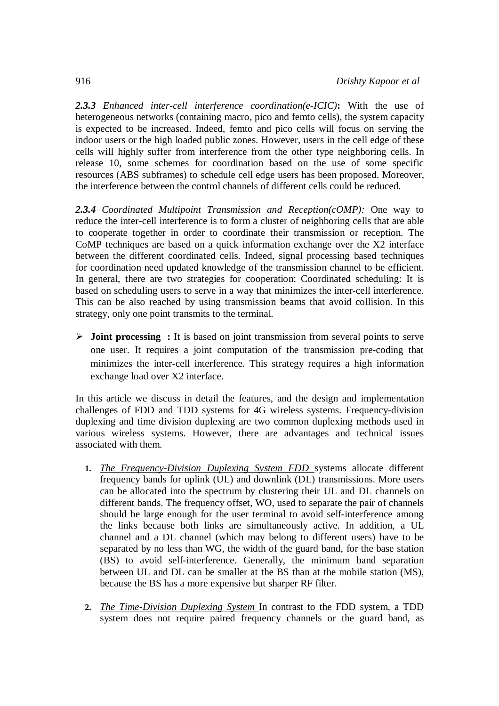*2.3.3 Enhanced inter-cell interference coordination(e-ICIC)***:** With the use of heterogeneous networks (containing macro, pico and femto cells), the system capacity is expected to be increased. Indeed, femto and pico cells will focus on serving the indoor users or the high loaded public zones. However, users in the cell edge of these cells will highly suffer from interference from the other type neighboring cells. In release 10, some schemes for coordination based on the use of some specific resources (ABS subframes) to schedule cell edge users has been proposed. Moreover, the interference between the control channels of different cells could be reduced.

*2.3.4 Coordinated Multipoint Transmission and Reception(cOMP):* One way to reduce the inter-cell interference is to form a cluster of neighboring cells that are able to cooperate together in order to coordinate their transmission or reception. The CoMP techniques are based on a quick information exchange over the X2 interface between the different coordinated cells. Indeed, signal processing based techniques for coordination need updated knowledge of the transmission channel to be efficient. In general, there are two strategies for cooperation: Coordinated scheduling: It is based on scheduling users to serve in a way that minimizes the inter-cell interference. This can be also reached by using transmission beams that avoid collision. In this strategy, only one point transmits to the terminal.

 **Joint processing :** It is based on joint transmission from several points to serve one user. It requires a joint computation of the transmission pre-coding that minimizes the inter-cell interference. This strategy requires a high information exchange load over X2 interface.

In this article we discuss in detail the features, and the design and implementation challenges of FDD and TDD systems for 4G wireless systems. Frequency-division duplexing and time division duplexing are two common duplexing methods used in various wireless systems. However, there are advantages and technical issues associated with them.

- **1.** *The Frequency-Division Duplexing System FDD* systems allocate different frequency bands for uplink (UL) and downlink (DL) transmissions. More users can be allocated into the spectrum by clustering their UL and DL channels on different bands. The frequency offset, WO, used to separate the pair of channels should be large enough for the user terminal to avoid self-interference among the links because both links are simultaneously active. In addition, a UL channel and a DL channel (which may belong to different users) have to be separated by no less than WG, the width of the guard band, for the base station (BS) to avoid self-interference. Generally, the minimum band separation between UL and DL can be smaller at the BS than at the mobile station (MS), because the BS has a more expensive but sharper RF filter.
- **2.** *The Time-Division Duplexing System* In contrast to the FDD system, a TDD system does not require paired frequency channels or the guard band, as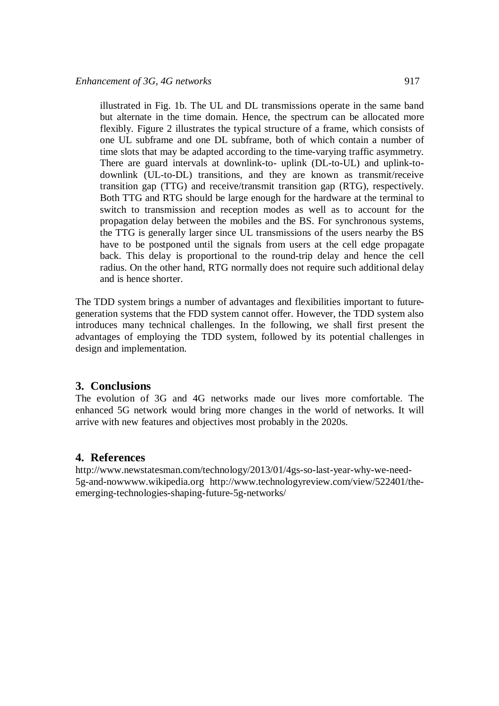illustrated in Fig. 1b. The UL and DL transmissions operate in the same band but alternate in the time domain. Hence, the spectrum can be allocated more flexibly. Figure 2 illustrates the typical structure of a frame, which consists of one UL subframe and one DL subframe, both of which contain a number of time slots that may be adapted according to the time-varying traffic asymmetry. There are guard intervals at downlink-to- uplink (DL-to-UL) and uplink-todownlink (UL-to-DL) transitions, and they are known as transmit/receive transition gap (TTG) and receive/transmit transition gap (RTG), respectively. Both TTG and RTG should be large enough for the hardware at the terminal to switch to transmission and reception modes as well as to account for the propagation delay between the mobiles and the BS. For synchronous systems, the TTG is generally larger since UL transmissions of the users nearby the BS have to be postponed until the signals from users at the cell edge propagate back. This delay is proportional to the round-trip delay and hence the cell radius. On the other hand, RTG normally does not require such additional delay and is hence shorter.

The TDD system brings a number of advantages and flexibilities important to futuregeneration systems that the FDD system cannot offer. However, the TDD system also introduces many technical challenges. In the following, we shall first present the advantages of employing the TDD system, followed by its potential challenges in design and implementation.

# **3. Conclusions**

The evolution of 3G and 4G networks made our lives more comfortable. The enhanced 5G network would bring more changes in the world of networks. It will arrive with new features and objectives most probably in the 2020s.

# **4. References**

http://www.newstatesman.com/technology/2013/01/4gs-so-last-year-why-we-need-5g-and-nowwww.wikipedia.org http://www.technologyreview.com/view/522401/theemerging-technologies-shaping-future-5g-networks/